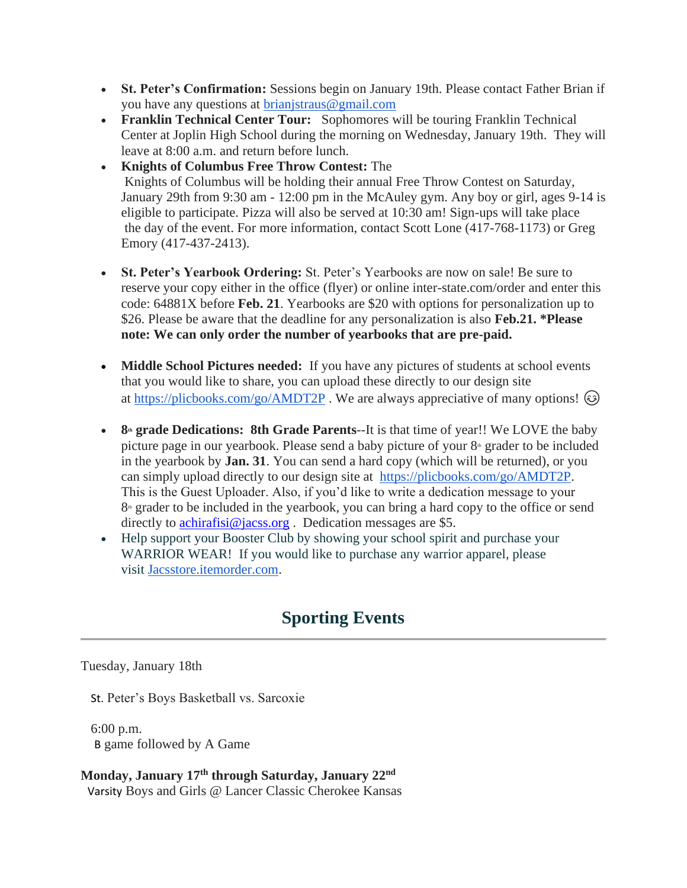- **St. Peter's Confirmation:** Sessions begin on January 19th. Please contact Father Brian if you have any questions at [brianjstraus@gmail.com](mailto:brianjstraus@gmail.com)
- **Franklin Technical Center Tour:** Sophomores will be touring Franklin Technical Center at Joplin High School during the morning on Wednesday, January 19th. They will leave at 8:00 a.m. and return before lunch.
- **Knights of Columbus Free Throw Contest:** The Knights of Columbus will be holding their annual Free Throw Contest on Saturday, January 29th from 9:30 am - 12:00 pm in the McAuley gym. Any boy or girl, ages 9-14 is eligible to participate. Pizza will also be served at 10:30 am! Sign-ups will take place the day of the event. For more information, contact Scott Lone (417-768-1173) or Greg Emory (417-437-2413).
- **St. Peter's Yearbook Ordering:** St. Peter's Yearbooks are now on sale! Be sure to reserve your copy either in the office (flyer) or online inter-state.com/order and enter this code: 64881X before **Feb. 21**. Yearbooks are \$20 with options for personalization up to \$26. Please be aware that the deadline for any personalization is also **Feb.21. \*Please note: We can only order the number of yearbooks that are pre-paid.**
- **Middle School Pictures needed:** If you have any pictures of students at school events that you would like to share, you can upload these directly to our design site at <https://plicbooks.com/go/AMDT2P>. We are always appreciative of many options!  $\odot$
- **8**<sup>th</sup> **grade Dedications: 8th Grade Parents**--It is that time of year!! We LOVE the baby picture page in our yearbook. Please send a baby picture of your  $8<sup>th</sup>$  grader to be included in the yearbook by **Jan. 31**. You can send a hard copy (which will be returned), or you can simply upload directly to our design site at [https://plicbooks.com/go/AMDT2P.](https://plicbooks.com/go/AMDT2P) This is the Guest Uploader. Also, if you'd like to write a dedication message to your  $8<sup>th</sup>$  grader to be included in the yearbook, you can bring a hard copy to the office or send directly to [achirafisi@jacss.org](mailto:achirafisi@jacss.org). Dedication messages are \$5.
- Help support your Booster Club by showing your school spirit and purchase your WARRIOR WEAR! If you would like to purchase any warrior apparel, please visit [Jacsstore.itemorder.com.](http://jacsstore.itemorder.com/)

# **Sporting Events**

Tuesday, January 18th

St. Peter's Boys Basketball vs. Sarcoxie

6:00 p.m. B game followed by A Game

**Monday, January 17th through Saturday, January 22nd** Varsity Boys and Girls @ Lancer Classic Cherokee Kansas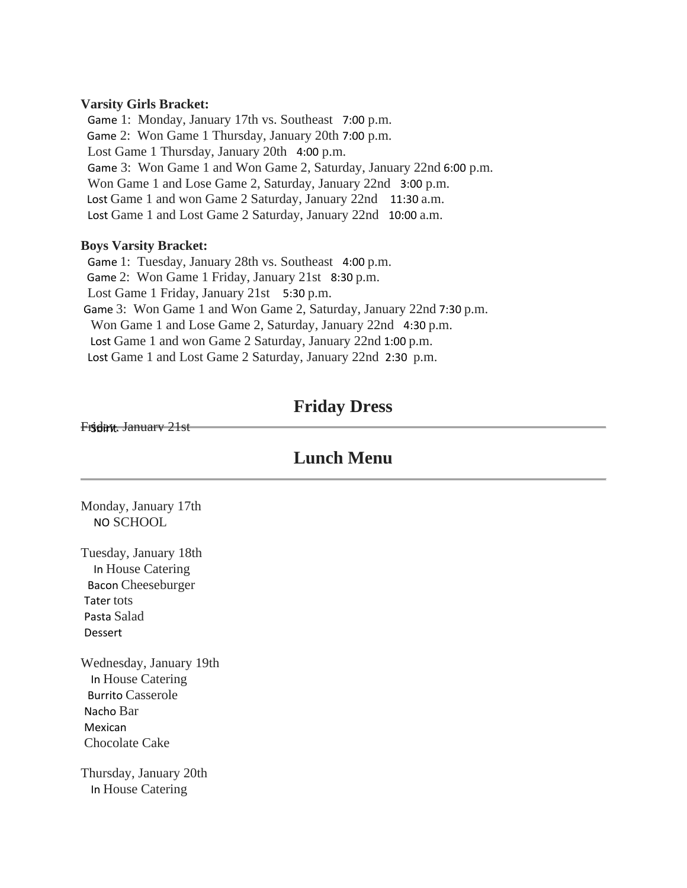#### **Varsity Girls Bracket:**

Game 1: Monday, January 17th vs. Southeast 7:00 p.m. Game 2: Won Game 1 Thursday, January 20th 7:00 p.m. Lost Game 1 Thursday, January 20th 4:00 p.m. Game 3: Won Game 1 and Won Game 2, Saturday, January 22nd 6:00 p.m. Won Game 1 and Lose Game 2, Saturday, January 22nd 3:00 p.m. Lost Game 1 and won Game 2 Saturday, January 22nd 11:30 a.m. Lost Game 1 and Lost Game 2 Saturday, January 22nd 10:00 a.m.

#### **Boys Varsity Bracket:**

Game 1: Tuesday, January 28th vs. Southeast 4:00 p.m. Game 2: Won Game 1 Friday, January 21st 8:30 p.m. Lost Game 1 Friday, January 21st 5:30 p.m. Game 3: Won Game 1 and Won Game 2, Saturday, January 22nd 7:30 p.m. Won Game 1 and Lose Game 2, Saturday, January 22nd 4:30 p.m. Lost Game 1 and won Game 2 Saturday, January 22nd 1:00 p.m. Lost Game 1 and Lost Game 2 Saturday, January 22nd 2:30 p.m.

### **Friday Dress**

#### Friday, January 21st

### **Lunch Menu**

Monday, January 17th NO SCHOOL

Tuesday, January 18th In House Catering Bacon Cheeseburger Tater tots Pasta Salad Dessert

Wednesday, January 19th In House Catering Burrito Casserole Nacho Bar Mexican Chocolate Cake

Thursday, January 20th In House Catering